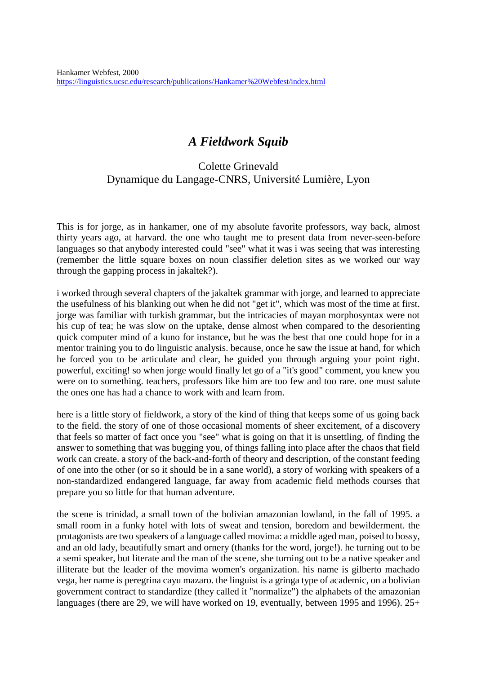## *A Fieldwork Squib*

## Colette Grinevald Dynamique du Langage-CNRS, Université Lumière, Lyon

This is for jorge, as in hankamer, one of my absolute favorite professors, way back, almost thirty years ago, at harvard. the one who taught me to present data from never-seen-before languages so that anybody interested could "see" what it was i was seeing that was interesting (remember the little square boxes on noun classifier deletion sites as we worked our way through the gapping process in jakaltek?).

i worked through several chapters of the jakaltek grammar with jorge, and learned to appreciate the usefulness of his blanking out when he did not "get it", which was most of the time at first. jorge was familiar with turkish grammar, but the intricacies of mayan morphosyntax were not his cup of tea; he was slow on the uptake, dense almost when compared to the desorienting quick computer mind of a kuno for instance, but he was the best that one could hope for in a mentor training you to do linguistic analysis. because, once he saw the issue at hand, for which he forced you to be articulate and clear, he guided you through arguing your point right. powerful, exciting! so when jorge would finally let go of a "it's good" comment, you knew you were on to something. teachers, professors like him are too few and too rare. one must salute the ones one has had a chance to work with and learn from.

here is a little story of fieldwork, a story of the kind of thing that keeps some of us going back to the field. the story of one of those occasional moments of sheer excitement, of a discovery that feels so matter of fact once you "see" what is going on that it is unsettling, of finding the answer to something that was bugging you, of things falling into place after the chaos that field work can create. a story of the back-and-forth of theory and description, of the constant feeding of one into the other (or so it should be in a sane world), a story of working with speakers of a non-standardized endangered language, far away from academic field methods courses that prepare you so little for that human adventure.

the scene is trinidad, a small town of the bolivian amazonian lowland, in the fall of 1995. a small room in a funky hotel with lots of sweat and tension, boredom and bewilderment. the protagonists are two speakers of a language called movima: a middle aged man, poised to bossy, and an old lady, beautifully smart and ornery (thanks for the word, jorge!). he turning out to be a semi speaker, but literate and the man of the scene, she turning out to be a native speaker and illiterate but the leader of the movima women's organization. his name is gilberto machado vega, her name is peregrina cayu mazaro. the linguist is a gringa type of academic, on a bolivian government contract to standardize (they called it "normalize") the alphabets of the amazonian languages (there are 29, we will have worked on 19, eventually, between 1995 and 1996). 25+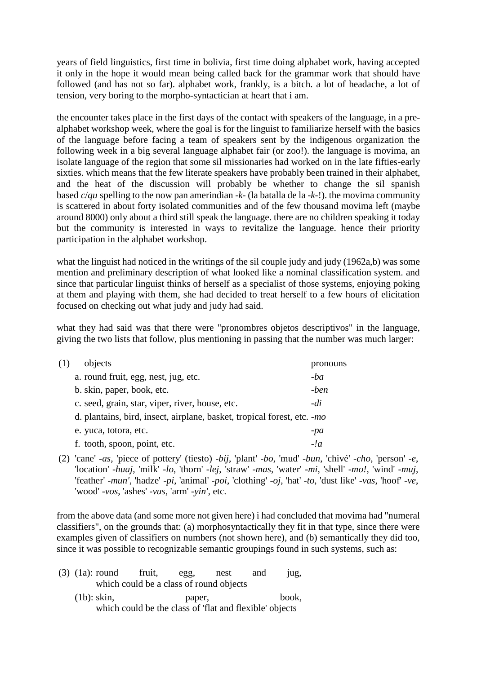years of field linguistics, first time in bolivia, first time doing alphabet work, having accepted it only in the hope it would mean being called back for the grammar work that should have followed (and has not so far). alphabet work, frankly, is a bitch. a lot of headache, a lot of tension, very boring to the morpho-syntactician at heart that i am.

the encounter takes place in the first days of the contact with speakers of the language, in a prealphabet workshop week, where the goal is for the linguist to familiarize herself with the basics of the language before facing a team of speakers sent by the indigenous organization the following week in a big several language alphabet fair (or zoo!). the language is movima, an isolate language of the region that some sil missionaries had worked on in the late fifties-early sixties. which means that the few literate speakers have probably been trained in their alphabet, and the heat of the discussion will probably be whether to change the sil spanish based *c*/*qu* spelling to the now pan amerindian -*k*- (la batalla de la -*k*-!). the movima community is scattered in about forty isolated communities and of the few thousand movima left (maybe around 8000) only about a third still speak the language. there are no children speaking it today but the community is interested in ways to revitalize the language. hence their priority participation in the alphabet workshop.

what the linguist had noticed in the writings of the sil couple judy and judy (1962a,b) was some mention and preliminary description of what looked like a nominal classification system. and since that particular linguist thinks of herself as a specialist of those systems, enjoying poking at them and playing with them, she had decided to treat herself to a few hours of elicitation focused on checking out what judy and judy had said.

what they had said was that there were "pronombres objetos descriptivos" in the language, giving the two lists that follow, plus mentioning in passing that the number was much larger:

| (1) | objects                                                                 | pronouns |
|-----|-------------------------------------------------------------------------|----------|
|     | a. round fruit, egg, nest, jug, etc.                                    | $-ba$    |
|     | b. skin, paper, book, etc.                                              | -ben     |
|     | c. seed, grain, star, viper, river, house, etc.                         | -di      |
|     | d. plantains, bird, insect, airplane, basket, tropical forest, etc. -mo |          |
|     | e. yuca, totora, etc.                                                   | -pa      |
|     | f. tooth, spoon, point, etc.                                            | $-l_a$   |

(2) 'cane' -*as*, 'piece of pottery' (tiesto) -*bij*, 'plant' -*bo*, 'mud' -*bun*, 'chivé' -*cho*, 'person' -*e*, 'location' -*huaj*, 'milk' -*lo*, 'thorn' -*lej*, 'straw' -*mas*, 'water' -*mi*, 'shell' -*mo!*, 'wind' -*muj*, 'feather' -*mun'*, 'hadze' -*pi*, 'animal' -*poi*, 'clothing' -*oj*, 'hat' -*to*, 'dust like' -*vas*, 'hoof' -*ve*, 'wood' -*vos*, 'ashes' -*vus*, 'arm' -*yin'*, etc.

from the above data (and some more not given here) i had concluded that movima had "numeral classifiers", on the grounds that: (a) morphosyntactically they fit in that type, since there were examples given of classifiers on numbers (not shown here), and (b) semantically they did too, since it was possible to recognizable semantic groupings found in such systems, such as:

|                                         |                                                         | $(3)$ $(1a)$ : round | fruit, | egg.   | nest | and | 10g,  |
|-----------------------------------------|---------------------------------------------------------|----------------------|--------|--------|------|-----|-------|
| which could be a class of round objects |                                                         |                      |        |        |      |     |       |
|                                         | $(lb)$ : skin,                                          |                      |        | paper, |      |     | book. |
|                                         | which could be the class of 'flat and flexible' objects |                      |        |        |      |     |       |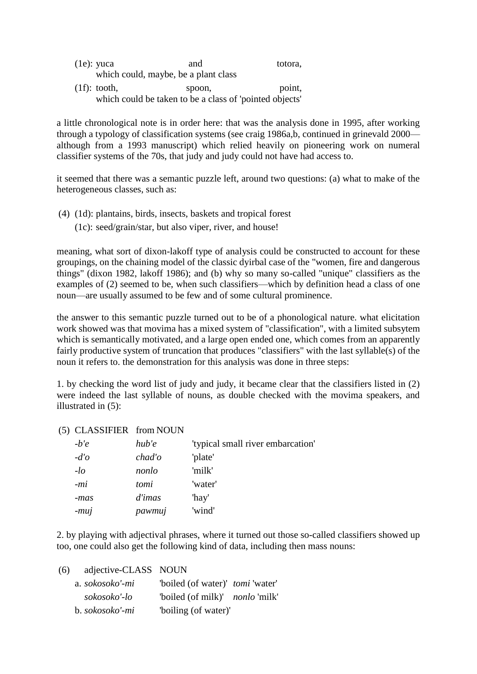(1e): yuca and totora, which could, maybe, be a plant class (1f): tooth, spoon, point, which could be taken to be a class of 'pointed objects'

a little chronological note is in order here: that was the analysis done in 1995, after working through a typology of classification systems (see craig 1986a,b, continued in grinevald 2000 although from a 1993 manuscript) which relied heavily on pioneering work on numeral classifier systems of the 70s, that judy and judy could not have had access to.

it seemed that there was a semantic puzzle left, around two questions: (a) what to make of the heterogeneous classes, such as:

- (4) (1d): plantains, birds, insects, baskets and tropical forest
	- (1c): seed/grain/star, but also viper, river, and house!

meaning, what sort of dixon-lakoff type of analysis could be constructed to account for these groupings, on the chaining model of the classic dyirbal case of the "women, fire and dangerous things" (dixon 1982, lakoff 1986); and (b) why so many so-called "unique" classifiers as the examples of (2) seemed to be, when such classifiers—which by definition head a class of one noun—are usually assumed to be few and of some cultural prominence.

the answer to this semantic puzzle turned out to be of a phonological nature. what elicitation work showed was that movima has a mixed system of "classification", with a limited subsytem which is semantically motivated, and a large open ended one, which comes from an apparently fairly productive system of truncation that produces "classifiers" with the last syllable(s) of the noun it refers to. the demonstration for this analysis was done in three steps:

1. by checking the word list of judy and judy, it became clear that the classifiers listed in (2) were indeed the last syllable of nouns, as double checked with the movima speakers, and illustrated in (5):

## (5) CLASSIFIER from NOUN

| $-b'e$  | hub'e  | 'typical small river embarcation' |
|---------|--------|-----------------------------------|
| $-d'$ o | chad'o | 'plate'                           |
| $-lO$   | nonlo  | 'milk'                            |
| $-mi$   | tomi   | 'water'                           |
| -mas    | d'imas | 'hay'                             |
| $-muj$  | pawmuj | 'wind'                            |

2. by playing with adjectival phrases, where it turned out those so-called classifiers showed up too, one could also get the following kind of data, including then mass nouns:

(6) adjective-CLASS NOUN

| a. sokosoko'-mi | "boiled (of water)" <i>tomi</i> 'water' |  |
|-----------------|-----------------------------------------|--|
| sokosoko'-lo    | "boiled (of milk)" <i>nonlo</i> 'milk'  |  |
| b. sokosoko'-mi | "boiling (of water)"                    |  |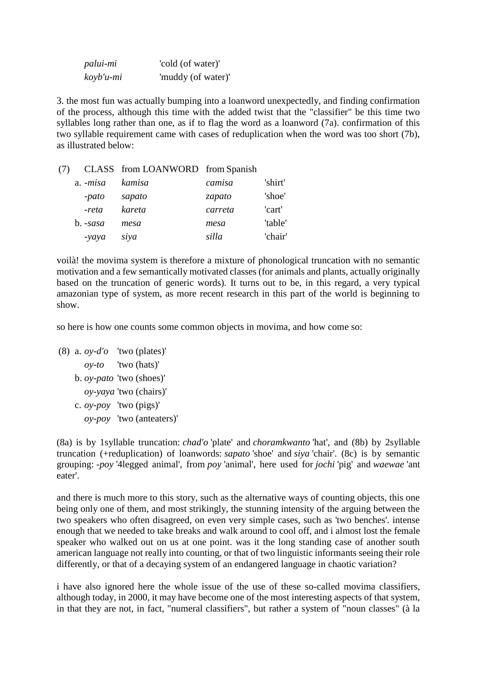| palui-mi     | 'cold (of water)'  |
|--------------|--------------------|
| $koyb'u$ -mi | 'muddy (of water)' |

3. the most fun was actually bumping into a loanword unexpectedly, and finding confirmation of the process, although this time with the added twist that the "classifier" be this time two syllables long rather than one, as if to flag the word as a loanword (7a). confirmation of this two syllable requirement came with cases of reduplication when the word was too short (7b), as illustrated below:

| (7) |            | CLASS from LOANWORD from Spanish |         |         |
|-----|------------|----------------------------------|---------|---------|
|     | a. -misa   | kamisa                           | camisa  | 'shirt' |
|     | -pato      | sapato                           | zapato  | 'shoe'  |
|     | -reta      | kareta                           | carreta | 'cart'  |
|     | $b. -sasa$ | mesa                             | mesa    | 'table' |
|     | -yaya      | siya                             | silla   | 'chair' |

voilà! the movima system is therefore a mixture of phonological truncation with no semantic motivation and a few semantically motivated classes (for animals and plants, actually originally based on the truncation of generic words). It turns out to be, in this regard, a very typical amazonian type of system, as more recent research in this part of the world is beginning to show.

so here is how one counts some common objects in movima, and how come so:

```
(8) a. oy-d'o 'two (plates)'
  oy-to 'two (hats)'
b. oy-pato 'two (shoes)'
  oy-yaya 'two (chairs)'
c. oy-poy 'two (pigs)'
  oy-poy 'two (anteaters)'
```
(8a) is by 1syllable truncation: *chad'o* 'plate' and *choramkwanto* 'hat', and (8b) by 2syllable truncation (+reduplication) of loanwords: *sapato* 'shoe' and *siya* 'chair'. (8c) is by semantic grouping: *-poy* '4legged animal', from *poy* 'animal', here used for *jochi* 'pig' and *waewae* 'ant eater'.

and there is much more to this story, such as the alternative ways of counting objects, this one being only one of them, and most strikingly, the stunning intensity of the arguing between the two speakers who often disagreed, on even very simple cases, such as 'two benches'. intense enough that we needed to take breaks and walk around to cool off, and i almost lost the female speaker who walked out on us at one point. was it the long standing case of another south american language not really into counting, or that of two linguistic informants seeing their role differently, or that of a decaying system of an endangered language in chaotic variation?

i have also ignored here the whole issue of the use of these so-called movima classifiers, although today, in 2000, it may have become one of the most interesting aspects of that system, in that they are not, in fact, "numeral classifiers", but rather a system of "noun classes" (à la